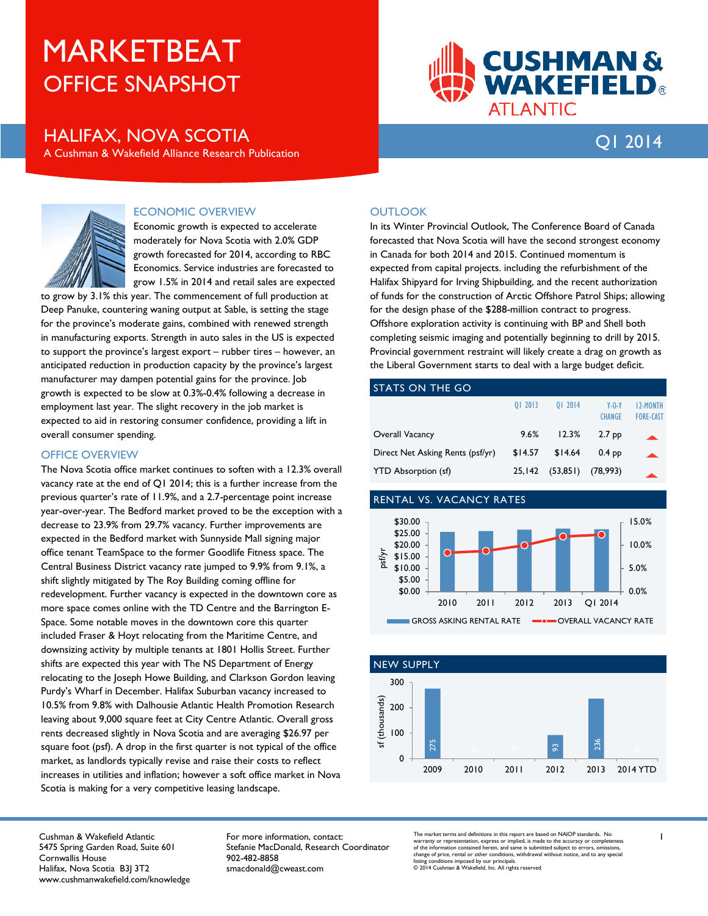# OFFICE SNAPSHOT MARKETBEAT

## HALIFAX, NOVA SCOTIA Q1 2014

A Cushman & Wakefield Alliance Research Publication

**CUSHMAN&<br>WAKEFIELD®** 

**ATLANTIC** 



### ECONOMIC OVERVIEW

Economic growth is expected to accelerate moderately for Nova Scotia with 2.0% GDP growth forecasted for 2014, according to RBC Economics. Service industries are forecasted to grow 1.5% in 2014 and retail sales are expected

to grow by 3.1% this year. The commencement of full production at Deep Panuke, countering waning output at Sable, is setting the stage for the province's moderate gains, combined with renewed strength in manufacturing exports. Strength in auto sales in the US is expected to support the province's largest export – rubber tires – however, an anticipated reduction in production capacity by the province's largest manufacturer may dampen potential gains for the province. Job growth is expected to be slow at 0.3%-0.4% following a decrease in employment last year. The slight recovery in the job market is expected to aid in restoring consumer confidence, providing a lift in overall consumer spending.

#### OFFICE OVERVIEW

The Nova Scotia office market continues to soften with a 12.3% overall vacancy rate at the end of Q1 2014; this is a further increase from the previous quarter's rate of 11.9%, and a 2.7-percentage point increase year-over-year. The Bedford market proved to be the exception with a decrease to 23.9% from 29.7% vacancy. Further improvements are expected in the Bedford market with Sunnyside Mall signing major office tenant TeamSpace to the former Goodlife Fitness space. The Central Business District vacancy rate jumped to 9.9% from 9.1%, a shift slightly mitigated by The Roy Building coming offline for redevelopment. Further vacancy is expected in the downtown core as more space comes online with the TD Centre and the Barrington E-Space. Some notable moves in the downtown core this quarter included Fraser & Hoyt relocating from the Maritime Centre, and downsizing activity by multiple tenants at 1801 Hollis Street. Further shifts are expected this year with The NS Department of Energy relocating to the Joseph Howe Building, and Clarkson Gordon leaving Purdy's Wharf in December. Halifax Suburban vacancy increased to 10.5% from 9.8% with Dalhousie Atlantic Health Promotion Research leaving about 9,000 square feet at City Centre Atlantic. Overall gross rents decreased slightly in Nova Scotia and are averaging \$26.97 per square foot (psf). A drop in the first quarter is not typical of the office market, as landlords typically revise and raise their costs to reflect increases in utilities and inflation; however a soft office market in Nova Scotia is making for a very competitive leasing landscape.

### **OUTLOOK**

In its Winter Provincial Outlook, The Conference Board of Canada forecasted that Nova Scotia will have the second strongest economy in Canada for both 2014 and 2015. Continued momentum is expected from capital projects. including the refurbishment of the Halifax Shipyard for Irving Shipbuilding, and the recent authorization of funds for the construction of Arctic Offshore Patrol Ships; allowing for the design phase of the \$288-million contract to progress. Offshore exploration activity is continuing with BP and Shell both completing seismic imaging and potentially beginning to drill by 2015. Provincial government restraint will likely create a drag on growth as the Liberal Government starts to deal with a large budget deficit.

#### STATS ON THE GO

|                                  | 01 2013 | 01 2014   | $Y - 0 - Y$<br><b>CHANGE</b> | <b>I2-MONTH</b><br><b>FORE-CAST</b> |
|----------------------------------|---------|-----------|------------------------------|-------------------------------------|
| Overall Vacancy                  | 9.6%    | 12.3%     | 2.7 <sub>pp</sub>            |                                     |
| Direct Net Asking Rents (psf/yr) | \$14.57 | \$14.64   | $0.4$ pp                     |                                     |
| <b>YTD Absorption (sf)</b>       | 25.142  | (53, 851) | (78,993)                     |                                     |

#### RENTAL VS. VACANCY RATES





Cushman & Wakefield Atlantic 5475 Spring Garden Road, Suite 601 Cornwallis House Halifax, Nova Scotia B3J 3T2 www.cushmanwakefield.com/knowledge For more information, contact: Stefanie MacDonald, Research Coordinator 902-482-8858 smacdonald@cweast.com

The market terms and definitions in this report are based on NAIOP standards. No warranty or representation, express or implied, is made to the accuracy or completeness<br>of the information contained herein, and same is submitted subject to errors, omissions,<br>Insinge of price, rental or other conditions,

1